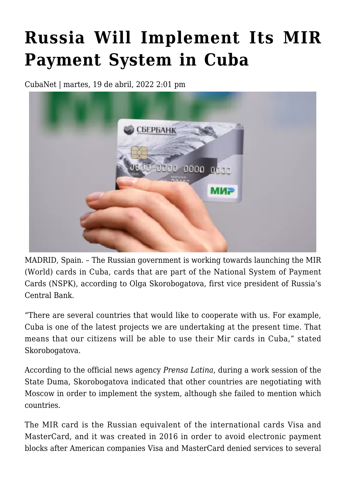## **[Russia Will Implement Its MIR](https://www.cubanet.org/english/russia-will-implement-its-mir-payment-system-in-cuba/) [Payment System in Cuba](https://www.cubanet.org/english/russia-will-implement-its-mir-payment-system-in-cuba/)**

CubaNet | martes, 19 de abril, 2022 2:01 pm



MADRID, Spain. – The Russian government is working towards launching the MIR (World) cards in Cuba, cards that are part of the National System of Payment Cards (NSPK), according to Olga Skorobogatova, first vice president of Russia's Central Bank.

"There are several countries that would like to cooperate with us. For example, Cuba is one of the latest projects we are undertaking at the present time. That means that our citizens will be able to use their Mir cards in Cuba," stated Skorobogatova.

According to the official news agency *Prensa Latina*, during a work session of the State Duma, Skorobogatova indicated that other countries are negotiating with Moscow in order to implement the system, although she failed to mention which countries.

The MIR card is the Russian equivalent of the international cards Visa and MasterCard, and it was created in 2016 in order to avoid electronic payment blocks after American companies Visa and MasterCard denied services to several